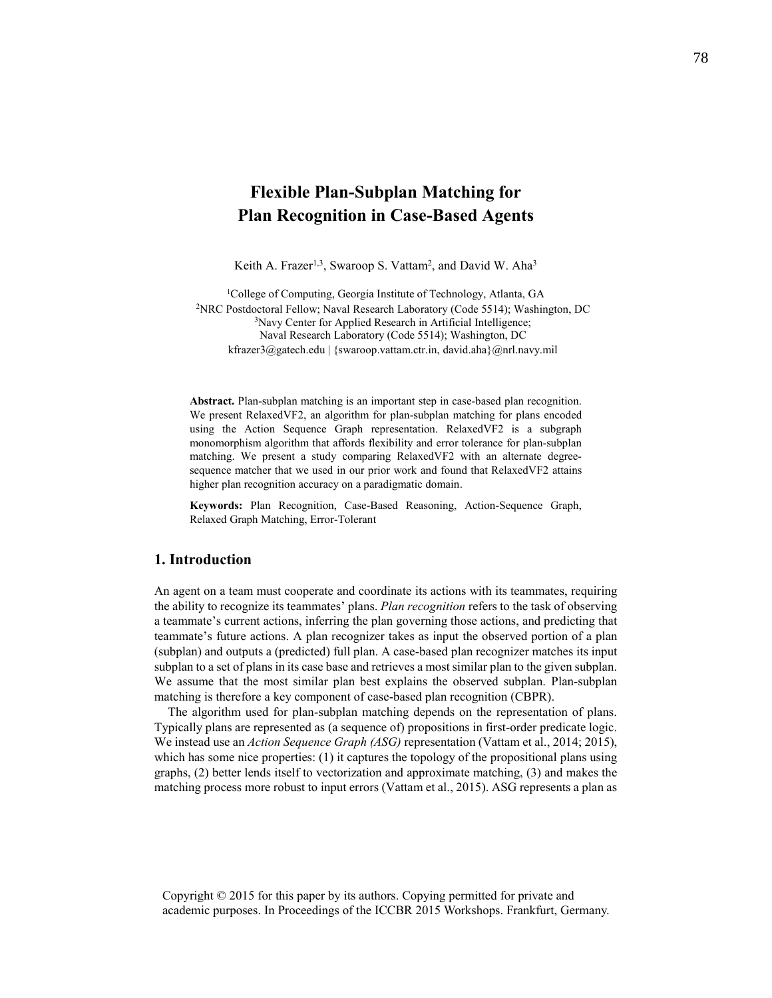# **Flexible Plan-Subplan Matching for Plan Recognition in Case-Based Agents**

Keith A. Frazer<sup>1,3</sup>, Swaroop S. Vattam<sup>2</sup>, and David W. Aha<sup>3</sup>

<sup>1</sup>College of Computing, Georgia Institute of Technology, Atlanta, GA <sup>2</sup>NRC Postdoctoral Fellow; Naval Research Laboratory (Code 5514); Washington, DC <sup>3</sup>Navy Center for Applied Research in Artificial Intelligence; Naval Research Laboratory (Code 5514); Washington, DC kfrazer3@gatech.edu | {swaroop.vattam.ctr.in, david.aha}@nrl.navy.mil

**Abstract.** Plan-subplan matching is an important step in case-based plan recognition. We present RelaxedVF2, an algorithm for plan-subplan matching for plans encoded using the Action Sequence Graph representation. RelaxedVF2 is a subgraph monomorphism algorithm that affords flexibility and error tolerance for plan-subplan matching. We present a study comparing RelaxedVF2 with an alternate degreesequence matcher that we used in our prior work and found that RelaxedVF2 attains higher plan recognition accuracy on a paradigmatic domain.

**Keywords:** Plan Recognition, Case-Based Reasoning, Action-Sequence Graph, Relaxed Graph Matching, Error-Tolerant

## **1. Introduction**

An agent on a team must cooperate and coordinate its actions with its teammates, requiring the ability to recognize its teammates' plans. *Plan recognition* refers to the task of observing a teammate's current actions, inferring the plan governing those actions, and predicting that teammate's future actions. A plan recognizer takes as input the observed portion of a plan (subplan) and outputs a (predicted) full plan. A case-based plan recognizer matches its input subplan to a set of plans in its case base and retrieves a most similar plan to the given subplan. We assume that the most similar plan best explains the observed subplan. Plan-subplan matching is therefore a key component of case-based plan recognition (CBPR).

The algorithm used for plan-subplan matching depends on the representation of plans. Typically plans are represented as (a sequence of) propositions in first-order predicate logic. We instead use an *Action Sequence Graph (ASG)* representation (Vattam et al., 2014; 2015), which has some nice properties: (1) it captures the topology of the propositional plans using graphs, (2) better lends itself to vectorization and approximate matching, (3) and makes the matching process more robust to input errors (Vattam et al., 2015). ASG represents a plan as

Copyright © 2015 for this paper by its authors. Copying permitted for private and academic purposes. In Proceedings of the ICCBR 2015 Workshops. Frankfurt, Germany.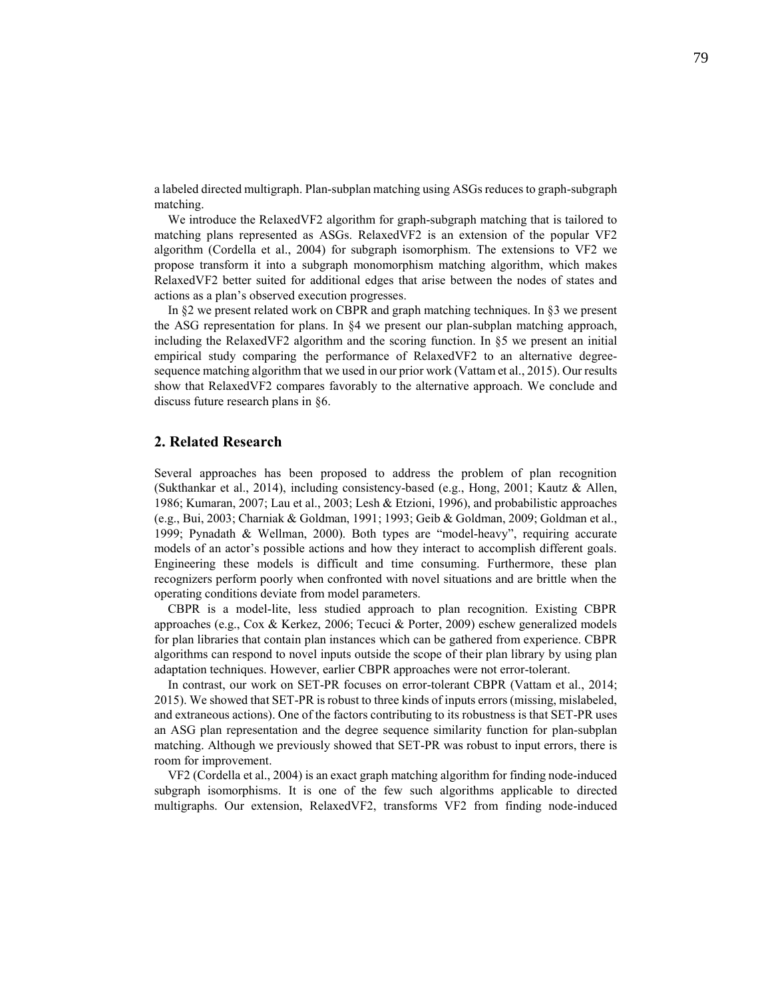a labeled directed multigraph. Plan-subplan matching using ASGsreduces to graph-subgraph matching.

We introduce the RelaxedVF2 algorithm for graph-subgraph matching that is tailored to matching plans represented as ASGs. RelaxedVF2 is an extension of the popular VF2 algorithm (Cordella et al., 2004) for subgraph isomorphism. The extensions to VF2 we propose transform it into a subgraph monomorphism matching algorithm, which makes RelaxedVF2 better suited for additional edges that arise between the nodes of states and actions as a plan's observed execution progresses.

In §2 we present related work on CBPR and graph matching techniques. In §3 we present the ASG representation for plans. In §4 we present our plan-subplan matching approach, including the RelaxedVF2 algorithm and the scoring function. In §5 we present an initial empirical study comparing the performance of RelaxedVF2 to an alternative degreesequence matching algorithm that we used in our prior work (Vattam et al., 2015). Our results show that RelaxedVF2 compares favorably to the alternative approach. We conclude and discuss future research plans in §6.

### **2. Related Research**

Several approaches has been proposed to address the problem of plan recognition (Sukthankar et al., 2014), including consistency-based (e.g., Hong, 2001; Kautz & Allen, 1986; Kumaran, 2007; Lau et al., 2003; Lesh & Etzioni, 1996), and probabilistic approaches (e.g., Bui, 2003; Charniak & Goldman, 1991; 1993; Geib & Goldman, 2009; Goldman et al., 1999; Pynadath & Wellman, 2000). Both types are "model-heavy", requiring accurate models of an actor's possible actions and how they interact to accomplish different goals. Engineering these models is difficult and time consuming. Furthermore, these plan recognizers perform poorly when confronted with novel situations and are brittle when the operating conditions deviate from model parameters.

CBPR is a model-lite, less studied approach to plan recognition. Existing CBPR approaches (e.g., Cox & Kerkez, 2006; Tecuci & Porter, 2009) eschew generalized models for plan libraries that contain plan instances which can be gathered from experience. CBPR algorithms can respond to novel inputs outside the scope of their plan library by using plan adaptation techniques. However, earlier CBPR approaches were not error-tolerant.

In contrast, our work on SET-PR focuses on error-tolerant CBPR (Vattam et al., 2014; 2015). We showed that SET-PR is robust to three kinds of inputs errors (missing, mislabeled, and extraneous actions). One of the factors contributing to its robustness is that SET-PR uses an ASG plan representation and the degree sequence similarity function for plan-subplan matching. Although we previously showed that SET-PR was robust to input errors, there is room for improvement.

VF2 (Cordella et al., 2004) is an exact graph matching algorithm for finding node-induced subgraph isomorphisms. It is one of the few such algorithms applicable to directed multigraphs. Our extension, RelaxedVF2, transforms VF2 from finding node-induced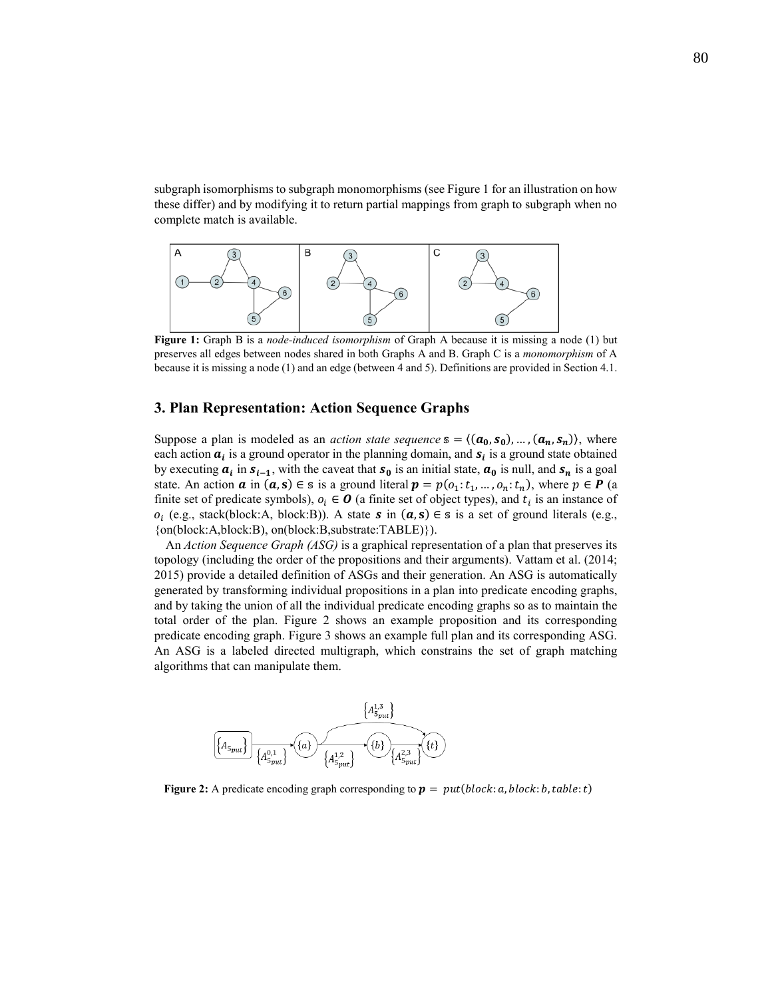subgraph isomorphisms to subgraph monomorphisms (see Figure 1 for an illustration on how these differ) and by modifying it to return partial mappings from graph to subgraph when no complete match is available.



**Figure 1:** Graph B is a *node-induced isomorphism* of Graph A because it is missing a node (1) but preserves all edges between nodes shared in both Graphs A and B. Graph C is a *monomorphism* of A because it is missing a node (1) and an edge (between 4 and 5). Definitions are provided in Section 4.1.

# **3. Plan Representation: Action Sequence Graphs**

Suppose a plan is modeled as an *action state sequence*  $s = \langle (a_0, s_0), ..., (a_n, s_n) \rangle$ , where each action  $a_i$  is a ground operator in the planning domain, and  $s_i$  is a ground state obtained by executing  $a_i$  in  $s_{i-1}$ , with the caveat that  $s_0$  is an initial state,  $a_0$  is null, and  $s_n$  is a goal state. An action  $\alpha$  in  $(a, s) \in s$  is a ground literal  $p = p(o_1; t_1, ..., o_n; t_n)$ , where  $p \in P$  (a finite set of predicate symbols),  $o_i \in \mathbf{O}$  (a finite set of object types), and  $t_i$  is an instance of  $o_i$  (e.g., stack(block:A, block:B)). A state **s** in  $(a, s) \in s$  is a set of ground literals (e.g., {on(block:A,block:B), on(block:B,substrate:TABLE)}).

An *Action Sequence Graph (ASG)* is a graphical representation of a plan that preserves its topology (including the order of the propositions and their arguments). Vattam et al. (2014; 2015) provide a detailed definition of ASGs and their generation. An ASG is automatically generated by transforming individual propositions in a plan into predicate encoding graphs, and by taking the union of all the individual predicate encoding graphs so as to maintain the total order of the plan. Figure 2 shows an example proposition and its corresponding predicate encoding graph. Figure 3 shows an example full plan and its corresponding ASG. An ASG is a labeled directed multigraph, which constrains the set of graph matching algorithms that can manipulate them.



**Figure 2:** A predicate encoding graph corresponding to  $p = put(block: a, block: b, table: t)$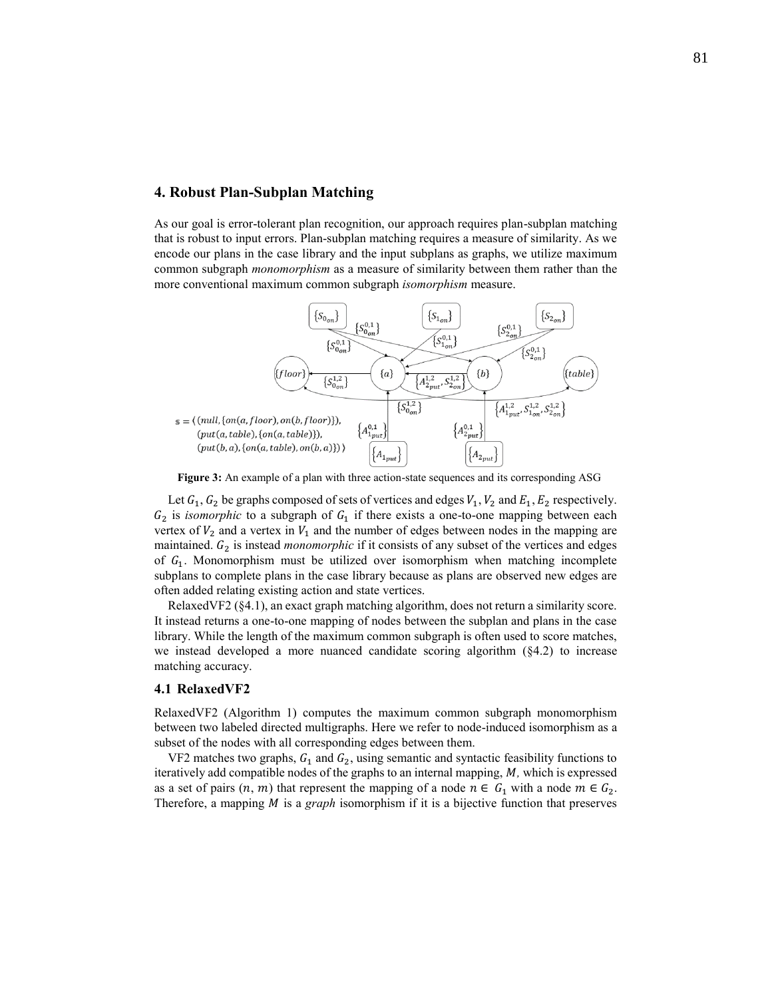# **4. Robust Plan-Subplan Matching**

As our goal is error-tolerant plan recognition, our approach requires plan-subplan matching that is robust to input errors. Plan-subplan matching requires a measure of similarity. As we encode our plans in the case library and the input subplans as graphs, we utilize maximum common subgraph *monomorphism* as a measure of similarity between them rather than the more conventional maximum common subgraph *isomorphism* measure.



**Figure 3:** An example of a plan with three action-state sequences and its corresponding ASG

Let  $G_1, G_2$  be graphs composed of sets of vertices and edges  $V_1, V_2$  and  $E_1, E_2$  respectively.  $G_2$  is *isomorphic* to a subgraph of  $G_1$  if there exists a one-to-one mapping between each vertex of  $V_2$  and a vertex in  $V_1$  and the number of edges between nodes in the mapping are maintained.  $G_2$  is instead *monomorphic* if it consists of any subset of the vertices and edges of  $G_1$ . Monomorphism must be utilized over isomorphism when matching incomplete subplans to complete plans in the case library because as plans are observed new edges are often added relating existing action and state vertices.

RelaxedVF2 (§4.1), an exact graph matching algorithm, does not return a similarity score. It instead returns a one-to-one mapping of nodes between the subplan and plans in the case library. While the length of the maximum common subgraph is often used to score matches, we instead developed a more nuanced candidate scoring algorithm (§4.2) to increase matching accuracy.

## **4.1 RelaxedVF2**

RelaxedVF2 (Algorithm 1) computes the maximum common subgraph monomorphism between two labeled directed multigraphs. Here we refer to node-induced isomorphism as a subset of the nodes with all corresponding edges between them.

VF2 matches two graphs,  $G_1$  and  $G_2$ , using semantic and syntactic feasibility functions to iteratively add compatible nodes of the graphs to an internal mapping, M, which is expressed as a set of pairs  $(n, m)$  that represent the mapping of a node  $n \in G_1$  with a node  $m \in G_2$ . Therefore, a mapping *M* is a *graph* isomorphism if it is a bijective function that preserves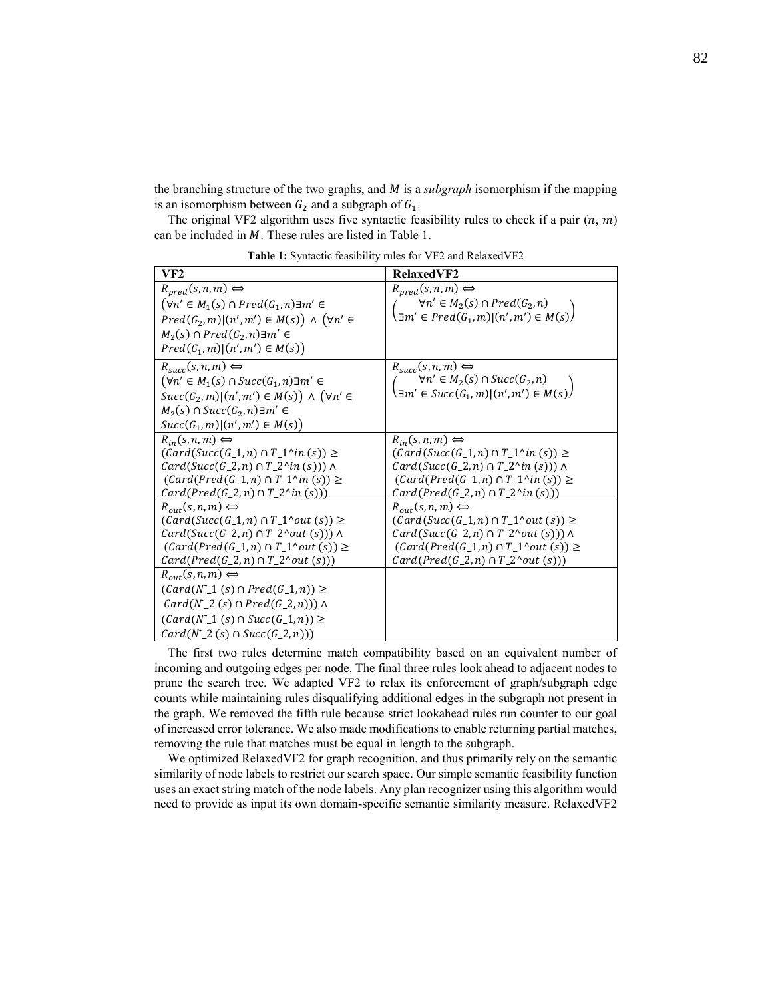the branching structure of the two graphs, and *M* is a *subgraph* isomorphism if the mapping is an isomorphism between  $G_2$  and a subgraph of  $G_1$ .

The original VF2 algorithm uses five syntactic feasibility rules to check if a pair  $(n, m)$ can be included in  $M$ . These rules are listed in Table 1.

| VF2                                                                                                                                                                                                                                                                                               | <b>RelaxedVF2</b>                                                                                                                                                                                                                                                                                     |
|---------------------------------------------------------------------------------------------------------------------------------------------------------------------------------------------------------------------------------------------------------------------------------------------------|-------------------------------------------------------------------------------------------------------------------------------------------------------------------------------------------------------------------------------------------------------------------------------------------------------|
| $R_{pred}(s, n, m) \Leftrightarrow$<br>$(\forall n' \in M_1(s) \cap Pred(G_1, n) \exists m' \in$<br>$Pred(G_2, m)   (n', m') \in M(s)) \wedge (\forall n' \in$<br>$M_2(s) \cap Pred(G_2, n) \exists m' \in$<br>$Pred(G_1, m)   (n', m') \in M(s)$                                                 | $R_{pred}(s, n, m) \Longleftrightarrow$<br>$\forall n' \in M_2(s) \cap Pred(G_2, n)$<br>$\exists m' \in Pred(G_1, m)   (n', m') \in M(s)$                                                                                                                                                             |
| $R_{succ}(s,n,m) \Leftrightarrow$<br>$(\forall n' \in M_1(s) \cap Succ(G_1, n) \exists m' \in$<br>$Succ(G_2, m) (n', m') \in M(s)) \wedge (\forall n' \in$<br>$M_2(s) \cap Succ(G_2, n) \exists m' \in$<br>$Succ(G_1, m)   (n', m') \in M(s))$                                                    | $R_{succ}(s,n,m) \Leftrightarrow$<br>$\forall n' \in M_2(s) \cap Succ(G_2, n)$<br>$\left(\exists m' \in Succ(G_1, m)   (n', m') \in M(s)\right)$                                                                                                                                                      |
| $R_{in}(s,n,m) \Leftrightarrow$<br>$(Card(Succ(G_1, n) \cap T_1^{\wedge}in(s)) \ge$<br>$Card(Succ(G_2,n) \cap T_2^{\wedge}in(s))) \wedge$<br>$(Card(Pred(G_1, n) \cap T_1^{\wedge}in(s)) \ge$<br><i>Card</i> ( <i>Pred</i> ( <i>G</i> _2, <i>n</i> ) $\cap$ <i>T</i> _2^ <i>in</i> ( <i>s</i> ))) | $R_{in}(s,n,m) \Longleftrightarrow$<br>$(Card(Succ(G_1, n) \cap T_1^{\wedge}in(s)) \ge$<br>$Card(Succ(G_2,n) \cap T_2^{\wedge}in(s))) \wedge$<br>$(Card(Pred(G_1, n) \cap T_1^{\wedge}in(s)) \ge$<br><i>Card</i> ( <i>Pred</i> ( <i>G</i> _2, <i>n</i> ) $\cap$ <i>T</i> _2^ <i>in</i> ( <i>s</i> ))) |
| $R_{out}(s,n,m) \Leftrightarrow$<br>$(Card(Succ(G_1,n) \cap T_1^{\wedge} out(s)) \ge$<br>$Card(Succ(G_2,n) \cap T_2^{\wedge} out(s))) \wedge$<br>$(Card(Pred(G_1, n) \cap T_1^{\wedge} out(s)) \ge$<br>$Card(Pred(G_2,n) \cap T_2^{\wedge} out(s)))$                                              | $R_{out}(s,n,m) \Leftrightarrow$<br>$(Card(Succ(G_1,n) \cap T_1^{\wedge}out(s)) \ge$<br>$Card(Succ(G_2,n) \cap T_2^{\wedge} out(s))) \wedge$<br>$(Card(Pred(G_1, n) \cap T_1^{\wedge} out(s)) \ge$<br>$Card(Pred(G_2,n) \cap T_2^{\wedge}out(s)))$                                                    |
| $R_{out}(s,n,m) \Longleftrightarrow$<br>$(Card(N_1(s) \cap Pred(G_1, n)) \ge$<br>$Card(N_2(s) \cap Pred(G_2,n))$ $\wedge$<br>$(Card(N_1(s) \cap Succ(G_1,n)) \ge$<br>$Card(N_2(s) \cap Succ(G_2, n)))$                                                                                            |                                                                                                                                                                                                                                                                                                       |

**Table 1:** Syntactic feasibility rules for VF2 and RelaxedVF2

The first two rules determine match compatibility based on an equivalent number of incoming and outgoing edges per node. The final three rules look ahead to adjacent nodes to prune the search tree. We adapted VF2 to relax its enforcement of graph/subgraph edge counts while maintaining rules disqualifying additional edges in the subgraph not present in the graph. We removed the fifth rule because strict lookahead rules run counter to our goal of increased error tolerance. We also made modifications to enable returning partial matches, removing the rule that matches must be equal in length to the subgraph.

We optimized RelaxedVF2 for graph recognition, and thus primarily rely on the semantic similarity of node labels to restrict our search space. Our simple semantic feasibility function uses an exact string match of the node labels. Any plan recognizer using this algorithm would need to provide as input its own domain-specific semantic similarity measure. RelaxedVF2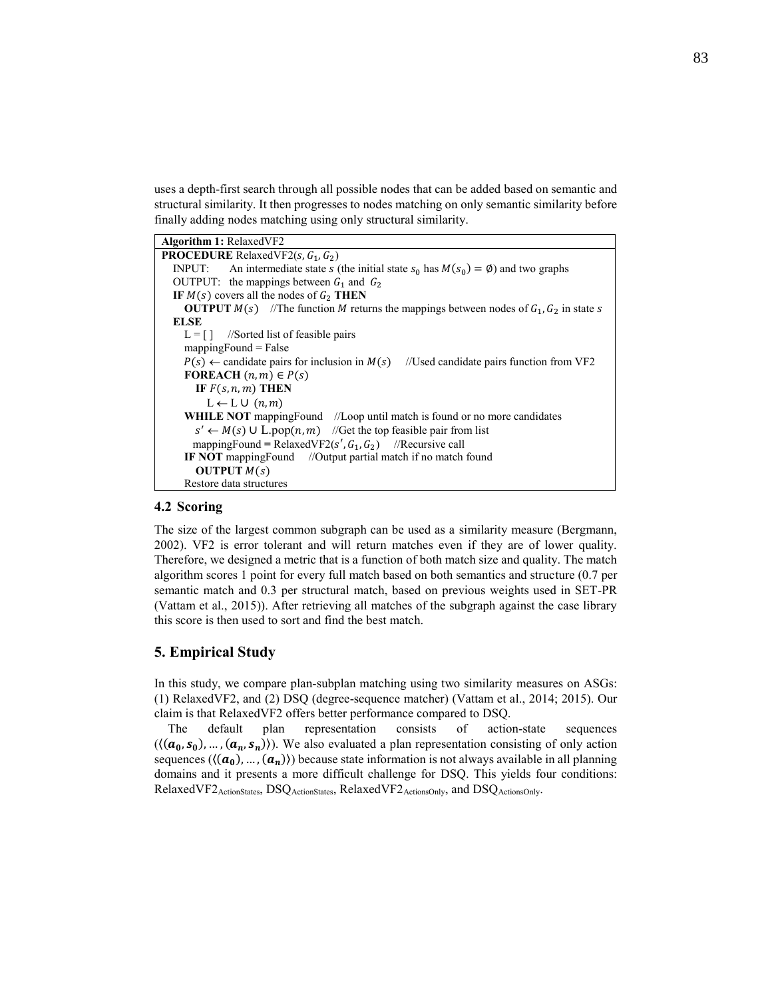uses a depth-first search through all possible nodes that can be added based on semantic and structural similarity. It then progresses to nodes matching on only semantic similarity before finally adding nodes matching using only structural similarity.

# **4.2 Scoring**

The size of the largest common subgraph can be used as a similarity measure (Bergmann, 2002). VF2 is error tolerant and will return matches even if they are of lower quality. Therefore, we designed a metric that is a function of both match size and quality. The match algorithm scores 1 point for every full match based on both semantics and structure (0.7 per semantic match and 0.3 per structural match, based on previous weights used in SET-PR (Vattam et al., 2015)). After retrieving all matches of the subgraph against the case library this score is then used to sort and find the best match.

# **5. Empirical Study**

In this study, we compare plan-subplan matching using two similarity measures on ASGs: (1) RelaxedVF2, and (2) DSQ (degree-sequence matcher) (Vattam et al., 2014; 2015). Our claim is that RelaxedVF2 offers better performance compared to DSQ.

The default plan representation consists of action-state sequences  $((a_0, s_0), ..., (a_n, s_n))$ . We also evaluated a plan representation consisting of only action sequences ( $\langle (\alpha_0),...,(\alpha_n) \rangle$ ) because state information is not always available in all planning domains and it presents a more difficult challenge for DSQ. This yields four conditions: RelaxedVF2ActionStates, DSQActionStates, RelaxedVF2ActionsOnly, and DSQActionsOnly.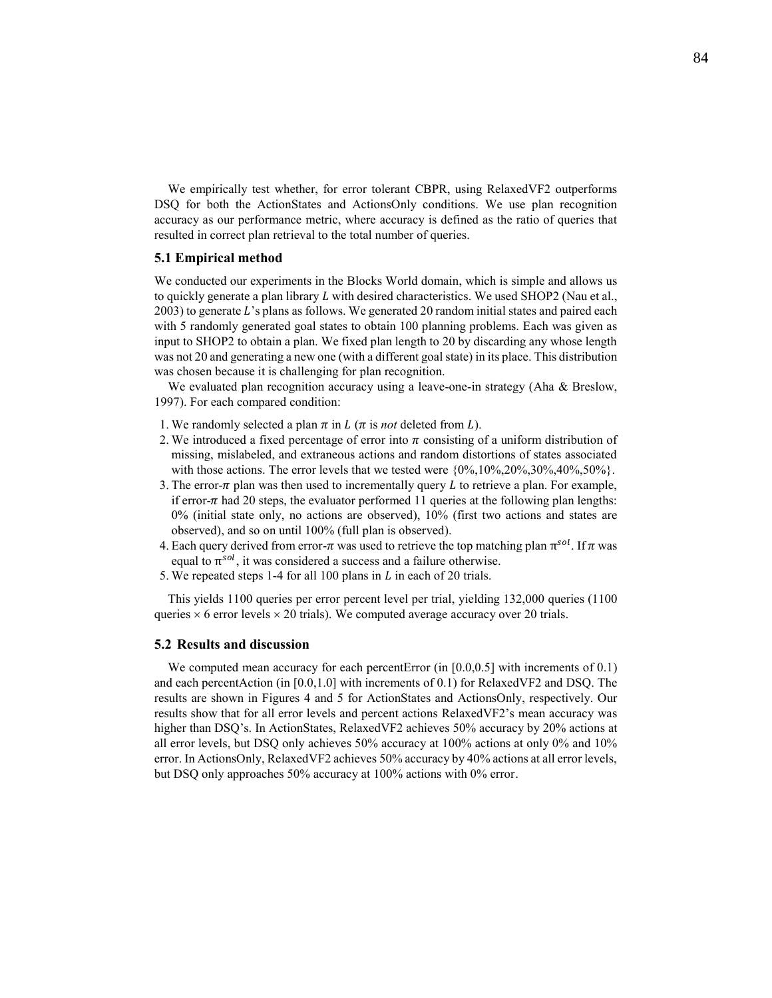We empirically test whether, for error tolerant CBPR, using RelaxedVF2 outperforms DSQ for both the ActionStates and ActionsOnly conditions. We use plan recognition accuracy as our performance metric, where accuracy is defined as the ratio of queries that resulted in correct plan retrieval to the total number of queries.

#### **5.1 Empirical method**

We conducted our experiments in the Blocks World domain, which is simple and allows us to quickly generate a plan library  $L$  with desired characteristics. We used SHOP2 (Nau et al.,  $2003$ ) to generate L's plans as follows. We generated 20 random initial states and paired each with 5 randomly generated goal states to obtain 100 planning problems. Each was given as input to SHOP2 to obtain a plan. We fixed plan length to 20 by discarding any whose length was not 20 and generating a new one (with a different goal state) in its place. This distribution was chosen because it is challenging for plan recognition.

We evaluated plan recognition accuracy using a leave-one-in strategy (Aha & Breslow, 1997). For each compared condition:

- 1. We randomly selected a plan  $\pi$  in  $L(\pi)$  is *not* deleted from  $L$ ).
- 2. We introduced a fixed percentage of error into  $\pi$  consisting of a uniform distribution of missing, mislabeled, and extraneous actions and random distortions of states associated with those actions. The error levels that we tested were  $\{0\%, 10\%, 20\%, 30\%, 40\%, 50\%\}$ .
- 3. The error- $\pi$  plan was then used to incrementally query  $L$  to retrieve a plan. For example, if error- $\pi$  had 20 steps, the evaluator performed 11 queries at the following plan lengths: 0% (initial state only, no actions are observed), 10% (first two actions and states are observed), and so on until 100% (full plan is observed).
- 4. Each query derived from error- $\pi$  was used to retrieve the top matching plan  $\pi^{sol}$ . If  $\pi$  was equal to  $\pi^{sol}$ , it was considered a success and a failure otherwise.
- 5. We repeated steps 1-4 for all 100 plans in  $L$  in each of 20 trials.

This yields 1100 queries per error percent level per trial, yielding 132,000 queries (1100 queries  $\times$  6 error levels  $\times$  20 trials). We computed average accuracy over 20 trials.

#### **5.2 Results and discussion**

We computed mean accuracy for each percentError (in [0.0,0.5] with increments of 0.1) and each percentAction (in [0.0,1.0] with increments of 0.1) for RelaxedVF2 and DSQ. The results are shown in Figures 4 and 5 for ActionStates and ActionsOnly, respectively. Our results show that for all error levels and percent actions RelaxedVF2's mean accuracy was higher than DSQ's. In ActionStates, RelaxedVF2 achieves 50% accuracy by 20% actions at all error levels, but DSQ only achieves 50% accuracy at 100% actions at only 0% and 10% error. In ActionsOnly, RelaxedVF2 achieves 50% accuracy by 40% actions at all error levels, but DSQ only approaches 50% accuracy at 100% actions with 0% error.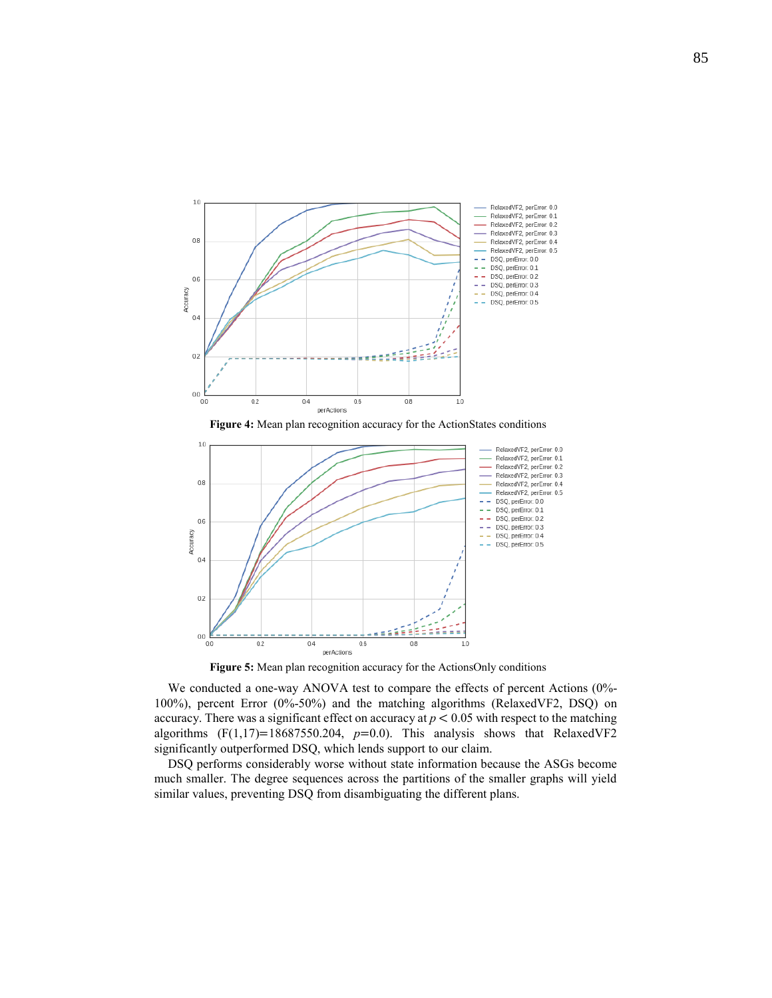

**Figure 4:** Mean plan recognition accuracy for the ActionStates conditions



**Figure 5:** Mean plan recognition accuracy for the ActionsOnly conditions

We conducted a one-way ANOVA test to compare the effects of percent Actions (0%-100%), percent Error (0%-50%) and the matching algorithms (RelaxedVF2, DSQ) on accuracy. There was a significant effect on accuracy at  $p < 0.05$  with respect to the matching algorithms  $(F(1,17)=18687550.204, p=0.0)$ . This analysis shows that RelaxedVF2 significantly outperformed DSQ, which lends support to our claim.

DSQ performs considerably worse without state information because the ASGs become much smaller. The degree sequences across the partitions of the smaller graphs will yield similar values, preventing DSQ from disambiguating the different plans.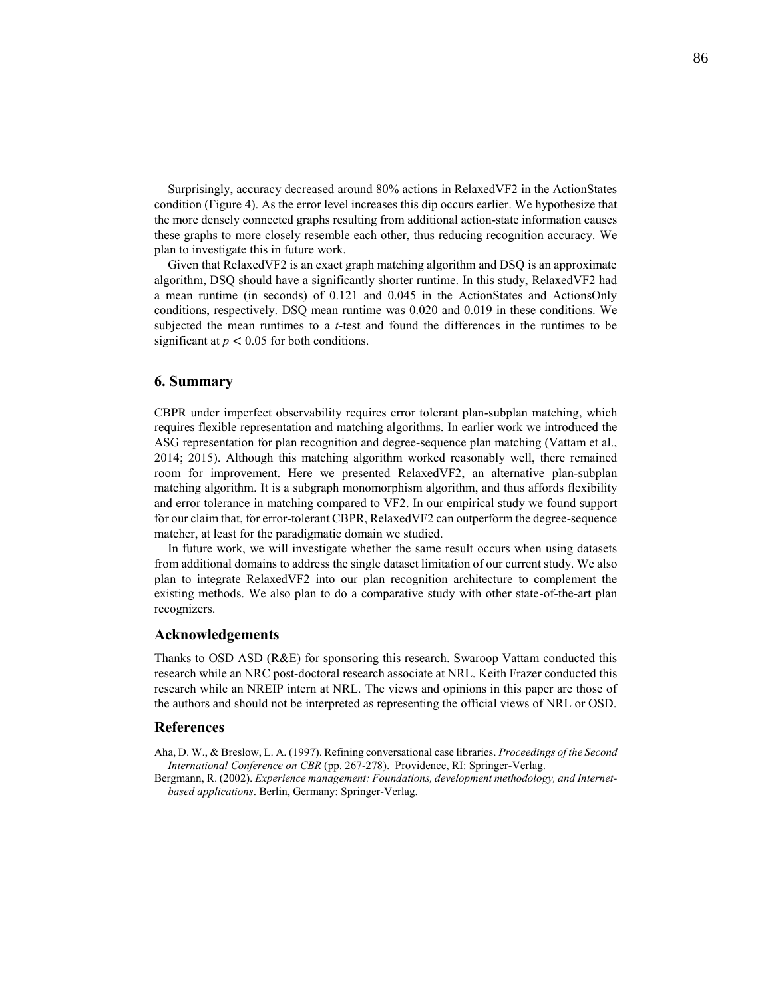Surprisingly, accuracy decreased around 80% actions in RelaxedVF2 in the ActionStates condition (Figure 4). As the error level increases this dip occurs earlier. We hypothesize that the more densely connected graphs resulting from additional action-state information causes these graphs to more closely resemble each other, thus reducing recognition accuracy. We plan to investigate this in future work.

Given that RelaxedVF2 is an exact graph matching algorithm and DSQ is an approximate algorithm, DSQ should have a significantly shorter runtime. In this study, RelaxedVF2 had a mean runtime (in seconds) of 0.121 and 0.045 in the ActionStates and ActionsOnly conditions, respectively. DSQ mean runtime was 0.020 and 0.019 in these conditions. We subjected the mean runtimes to a *t*-test and found the differences in the runtimes to be significant at  $p < 0.05$  for both conditions.

# **6. Summary**

CBPR under imperfect observability requires error tolerant plan-subplan matching, which requires flexible representation and matching algorithms. In earlier work we introduced the ASG representation for plan recognition and degree-sequence plan matching (Vattam et al., 2014; 2015). Although this matching algorithm worked reasonably well, there remained room for improvement. Here we presented RelaxedVF2, an alternative plan-subplan matching algorithm. It is a subgraph monomorphism algorithm, and thus affords flexibility and error tolerance in matching compared to VF2. In our empirical study we found support for our claim that, for error-tolerant CBPR, RelaxedVF2 can outperform the degree-sequence matcher, at least for the paradigmatic domain we studied.

In future work, we will investigate whether the same result occurs when using datasets from additional domains to address the single dataset limitation of our current study. We also plan to integrate RelaxedVF2 into our plan recognition architecture to complement the existing methods. We also plan to do a comparative study with other state-of-the-art plan recognizers.

#### **Acknowledgements**

Thanks to OSD ASD (R&E) for sponsoring this research. Swaroop Vattam conducted this research while an NRC post-doctoral research associate at NRL. Keith Frazer conducted this research while an NREIP intern at NRL. The views and opinions in this paper are those of the authors and should not be interpreted as representing the official views of NRL or OSD.

### **References**

- Aha, D. W., & Breslow, L. A. (1997). Refining conversational case libraries. *Proceedings of the Second International Conference on CBR* (pp. 267-278). Providence, RI: Springer-Verlag.
- Bergmann, R. (2002). *Experience management: Foundations, development methodology, and Internetbased applications*. Berlin, Germany: Springer-Verlag.